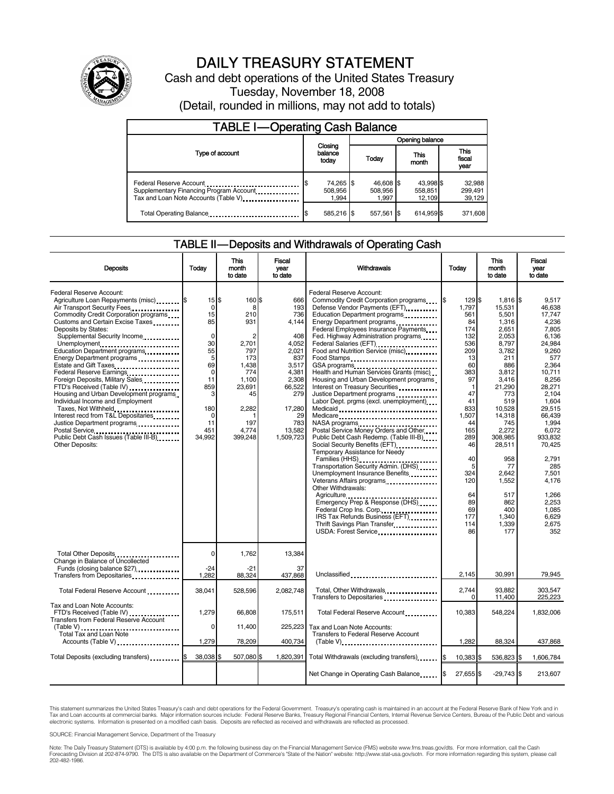

# DAILY TREASURY STATEMENT

Cash and debt operations of the United States Treasury Tuesday, November 18, 2008 (Detail, rounded in millions, may not add to totals)

| <b>TABLE I-Operating Cash Balance</b>                                                                      |                                      |                               |                                |                               |  |
|------------------------------------------------------------------------------------------------------------|--------------------------------------|-------------------------------|--------------------------------|-------------------------------|--|
|                                                                                                            |                                      | Opening balance               |                                |                               |  |
| Type of account                                                                                            | Closing<br>balance<br>today          | Today                         | This<br>month                  | <b>This</b><br>fiscal<br>year |  |
| Federal Reserve Account<br>Supplementary Financing Program Account<br>Tax and Loan Note Accounts (Table V) | 74,265 \$<br>l\$<br>508,956<br>1.994 | 46,608 \$<br>508,956<br>1.997 | 43,998 \$<br>558,851<br>12.109 | 32,988<br>299,491<br>39,129   |  |
| Total Operating Balance                                                                                    | 585.216 \$                           | 557,561 \$                    | 614.959 \$                     | 371,608                       |  |

#### TABLE II — Deposits and Withdrawals of Operating Cash

| <b>Deposits</b>                                                                                                                                                                                                                                                                                                                                                                                                                                                                                                                                                                                                                                                                         | Todav                                                                                                                       | This<br>month<br>to date                                                                                                                        | Fiscal<br>vear<br>to date                                                                                                                            | Withdrawals                                                                                                                                                                                                                                                                                                                                                                                                                                                                                                                                                                                                                                                                                                                                                                                                                                                                                                                                                                                                                  | Today                                                                                                                                                                                                                         | <b>This</b><br>month<br>to date                                                                                                                                                                                                                                                  | Fiscal<br>vear<br>to date                                                                                                                                                                                                                                                               |
|-----------------------------------------------------------------------------------------------------------------------------------------------------------------------------------------------------------------------------------------------------------------------------------------------------------------------------------------------------------------------------------------------------------------------------------------------------------------------------------------------------------------------------------------------------------------------------------------------------------------------------------------------------------------------------------------|-----------------------------------------------------------------------------------------------------------------------------|-------------------------------------------------------------------------------------------------------------------------------------------------|------------------------------------------------------------------------------------------------------------------------------------------------------|------------------------------------------------------------------------------------------------------------------------------------------------------------------------------------------------------------------------------------------------------------------------------------------------------------------------------------------------------------------------------------------------------------------------------------------------------------------------------------------------------------------------------------------------------------------------------------------------------------------------------------------------------------------------------------------------------------------------------------------------------------------------------------------------------------------------------------------------------------------------------------------------------------------------------------------------------------------------------------------------------------------------------|-------------------------------------------------------------------------------------------------------------------------------------------------------------------------------------------------------------------------------|----------------------------------------------------------------------------------------------------------------------------------------------------------------------------------------------------------------------------------------------------------------------------------|-----------------------------------------------------------------------------------------------------------------------------------------------------------------------------------------------------------------------------------------------------------------------------------------|
| Federal Reserve Account:<br>Agriculture Loan Repayments (misc) \$<br>Air Transport Security Fees<br>Commodity Credit Corporation programs<br>Customs and Certain Excise Taxes<br>Deposits by States:<br>Supplemental Security Income<br>Unemployment<br>Education Department programs<br>Energy Department programs<br>Estate and Gift Taxes<br>Federal Reserve Earnings<br>Foreign Deposits, Military Sales<br>FTD's Received (Table IV)<br>Housing and Urban Development programs<br>Individual Income and Employment<br>Taxes, Not Withheld<br>Interest recd from T&L Depositaries<br>Justice Department programs<br>Public Debt Cash Issues (Table III-B)<br><b>Other Deposits:</b> | 15S<br>0<br>15<br>85<br>$\mathbf 0$<br>30<br>55<br>5<br>69<br>0<br>11<br>859<br>3<br>180<br>$\Omega$<br>11<br>451<br>34,992 | 160 \$<br>8<br>210<br>931<br>$\overline{2}$<br>2,701<br>797<br>173<br>1,438<br>774<br>1,100<br>23.691<br>45<br>2,282<br>197<br>4,774<br>399,248 | 666<br>193<br>736<br>4.144<br>408<br>4,052<br>2.021<br>837<br>3,517<br>4,381<br>2,308<br>66,522<br>279<br>17,280<br>29<br>783<br>13,582<br>1,509,723 | Federal Reserve Account:<br>Commodity Credit Corporation programs<br>Defense Vendor Payments (EFT)<br>Education Department programs<br>Federal Employees Insurance Payments<br>Fed. Highway Administration programs<br>Federal Salaries (EFT)<br>Food and Nutrition Service (misc)<br>Food Stamps<br>GSA programs<br>Health and Human Services Grants (misc)<br>Housing and Urban Development programs<br>Interest on Treasury Securities<br>Justice Department programs<br><br>Labor Dept. prgms (excl. unemployment)<br>Medicaid<br>Medicare<br>Postal Service Money Orders and Other<br>Public Debt Cash Redemp. (Table III-B)<br>Social Security Benefits (EFT)<br>Temporary Assistance for Needy<br>Families (HHS)<br>Transportation Security Admin. (DHS)<br>Unemployment Insurance Benefits<br>Veterans Affairs programs<br>Other Withdrawals:<br>Agriculture<br>Emergency Prep & Response (DHS)<br>Federal Crop Ins. Corp.<br>IRS Tax Refunds Business (EFT)<br>Thrift Savings Plan Transfer<br>USDA: Forest Service | l\$<br>129 \$<br>1.797<br>561<br>84<br>174<br>132<br>536<br>209<br>13<br>60<br>383<br>97<br>$\mathbf{1}$<br>47<br>41<br>833<br>1,507<br>44<br>165<br>289<br>46<br>40<br>5<br>324<br>120<br>64<br>89<br>69<br>177<br>114<br>86 | $1,816$ $\sqrt{5}$<br>15,531<br>5,501<br>1,316<br>2,651<br>2,053<br>8,797<br>3,782<br>211<br>886<br>3,812<br>3,416<br>21,290<br>773<br>519<br>10,528<br>14,318<br>745<br>2,272<br>308,985<br>28,511<br>958<br>77<br>2,642<br>1,552<br>517<br>862<br>400<br>1,340<br>1,339<br>177 | 9,517<br>46.638<br>17,747<br>4.236<br>7,805<br>6,136<br>24,984<br>9.260<br>577<br>2,364<br>10,711<br>8.256<br>28.271<br>2,104<br>1.604<br>29.515<br>66.439<br>1,994<br>6,072<br>933.832<br>70,425<br>2,791<br>285<br>7,501<br>4.176<br>1,266<br>2,253<br>1.085<br>6.629<br>2,675<br>352 |
| Total Other Deposits<br>Change in Balance of Uncollected                                                                                                                                                                                                                                                                                                                                                                                                                                                                                                                                                                                                                                | $\Omega$                                                                                                                    | 1,762                                                                                                                                           | 13,384                                                                                                                                               |                                                                                                                                                                                                                                                                                                                                                                                                                                                                                                                                                                                                                                                                                                                                                                                                                                                                                                                                                                                                                              |                                                                                                                                                                                                                               |                                                                                                                                                                                                                                                                                  |                                                                                                                                                                                                                                                                                         |
| Funds (closing balance \$27)<br>Transfers from Depositaries                                                                                                                                                                                                                                                                                                                                                                                                                                                                                                                                                                                                                             | $-24$<br>1.282                                                                                                              | $-21$<br>88,324                                                                                                                                 | 37<br>437,868                                                                                                                                        | Unclassified                                                                                                                                                                                                                                                                                                                                                                                                                                                                                                                                                                                                                                                                                                                                                                                                                                                                                                                                                                                                                 | 2,145                                                                                                                                                                                                                         | 30,991                                                                                                                                                                                                                                                                           | 79,945                                                                                                                                                                                                                                                                                  |
| Total Federal Reserve Account                                                                                                                                                                                                                                                                                                                                                                                                                                                                                                                                                                                                                                                           | 38,041                                                                                                                      | 528,596                                                                                                                                         | 2.082.748                                                                                                                                            | Total, Other Withdrawals<br>Transfers to Depositaries                                                                                                                                                                                                                                                                                                                                                                                                                                                                                                                                                                                                                                                                                                                                                                                                                                                                                                                                                                        | 2,744<br>$\Omega$                                                                                                                                                                                                             | 93.882<br>11,400                                                                                                                                                                                                                                                                 | 303.547<br>225,223                                                                                                                                                                                                                                                                      |
| Tax and Loan Note Accounts:<br>FTD's Received (Table IV)<br>Transfers from Federal Reserve Account                                                                                                                                                                                                                                                                                                                                                                                                                                                                                                                                                                                      | 1.279                                                                                                                       | 66.808                                                                                                                                          | 175,511                                                                                                                                              | Total Federal Reserve Account                                                                                                                                                                                                                                                                                                                                                                                                                                                                                                                                                                                                                                                                                                                                                                                                                                                                                                                                                                                                | 10.383                                                                                                                                                                                                                        | 548,224                                                                                                                                                                                                                                                                          | 1,832,006                                                                                                                                                                                                                                                                               |
| Total Tax and Loan Note<br>Accounts (Table V)                                                                                                                                                                                                                                                                                                                                                                                                                                                                                                                                                                                                                                           | 0<br>1,279                                                                                                                  | 11.400<br>78,209                                                                                                                                | 225.223<br>400,734                                                                                                                                   | Tax and Loan Note Accounts:<br>Transfers to Federal Reserve Account<br>$(Table V)$                                                                                                                                                                                                                                                                                                                                                                                                                                                                                                                                                                                                                                                                                                                                                                                                                                                                                                                                           | 1.282                                                                                                                                                                                                                         | 88,324                                                                                                                                                                                                                                                                           | 437,868                                                                                                                                                                                                                                                                                 |
| Total Deposits (excluding transfers)                                                                                                                                                                                                                                                                                                                                                                                                                                                                                                                                                                                                                                                    | 38,038 \$                                                                                                                   | 507,080 \$                                                                                                                                      |                                                                                                                                                      | 1,820,391 Total Withdrawals (excluding transfers) [\$                                                                                                                                                                                                                                                                                                                                                                                                                                                                                                                                                                                                                                                                                                                                                                                                                                                                                                                                                                        | 10.383 \$                                                                                                                                                                                                                     | 536.823 \$                                                                                                                                                                                                                                                                       | 1.606.784                                                                                                                                                                                                                                                                               |
|                                                                                                                                                                                                                                                                                                                                                                                                                                                                                                                                                                                                                                                                                         |                                                                                                                             |                                                                                                                                                 |                                                                                                                                                      | Net Change in Operating Cash Balance                                                                                                                                                                                                                                                                                                                                                                                                                                                                                                                                                                                                                                                                                                                                                                                                                                                                                                                                                                                         | 27,655 \$                                                                                                                                                                                                                     | $-29,743$ \$                                                                                                                                                                                                                                                                     | 213,607                                                                                                                                                                                                                                                                                 |

This statement summarizes the United States Treasury's cash and debt operations for the Federal Government. Treasury's operating cash is maintained in an account at the Federal Reserve Bank of New York and in<br>Tax and Loan

SOURCE: Financial Management Service, Department of the Treasury

Note: The Daily Treasury Statement (DTS) is available by 4:00 p.m. the following business day on the Financial Management Service (FMS) website www.fms.treas.gov/dts. For more information, call the Cash<br>Forecasting Divisio eas.gov/dts. F<br>For more infor